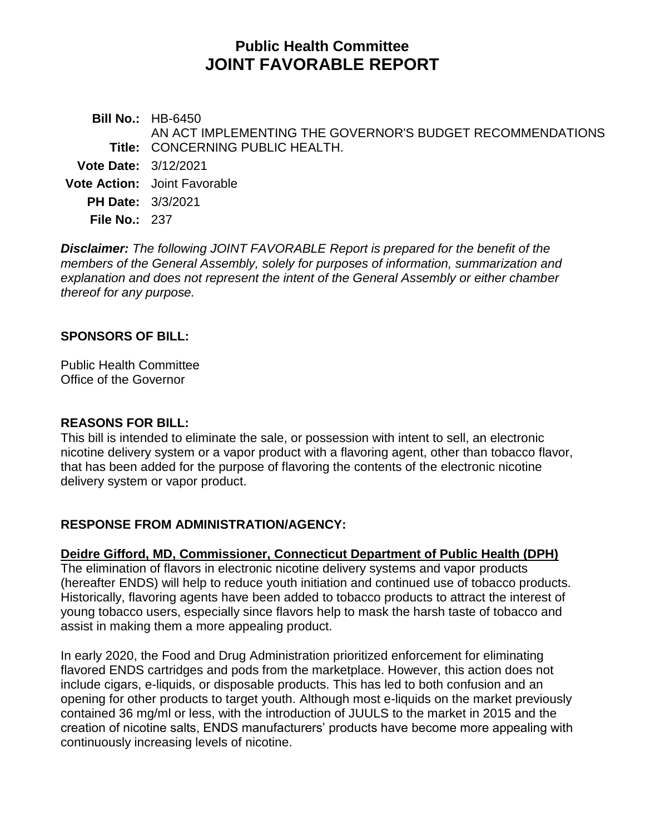# **Public Health Committee JOINT FAVORABLE REPORT**

**Bill No.:** HB-6450 **Title:** CONCERNING PUBLIC HEALTH. AN ACT IMPLEMENTING THE GOVERNOR'S BUDGET RECOMMENDATIONS **Vote Date:** 3/12/2021 **Vote Action:** Joint Favorable

**PH Date:** 3/3/2021

**File No.:** 237

*Disclaimer: The following JOINT FAVORABLE Report is prepared for the benefit of the members of the General Assembly, solely for purposes of information, summarization and explanation and does not represent the intent of the General Assembly or either chamber thereof for any purpose.*

## **SPONSORS OF BILL:**

Public Health Committee Office of the Governor

## **REASONS FOR BILL:**

This bill is intended to eliminate the sale, or possession with intent to sell, an electronic nicotine delivery system or a vapor product with a flavoring agent, other than tobacco flavor, that has been added for the purpose of flavoring the contents of the electronic nicotine delivery system or vapor product.

# **RESPONSE FROM ADMINISTRATION/AGENCY:**

# **Deidre Gifford, MD, Commissioner, Connecticut Department of Public Health (DPH)**

The elimination of flavors in electronic nicotine delivery systems and vapor products (hereafter ENDS) will help to reduce youth initiation and continued use of tobacco products. Historically, flavoring agents have been added to tobacco products to attract the interest of young tobacco users, especially since flavors help to mask the harsh taste of tobacco and assist in making them a more appealing product.

In early 2020, the Food and Drug Administration prioritized enforcement for eliminating flavored ENDS cartridges and pods from the marketplace. However, this action does not include cigars, e-liquids, or disposable products. This has led to both confusion and an opening for other products to target youth. Although most e-liquids on the market previously contained 36 mg/ml or less, with the introduction of JUULS to the market in 2015 and the creation of nicotine salts, ENDS manufacturers' products have become more appealing with continuously increasing levels of nicotine.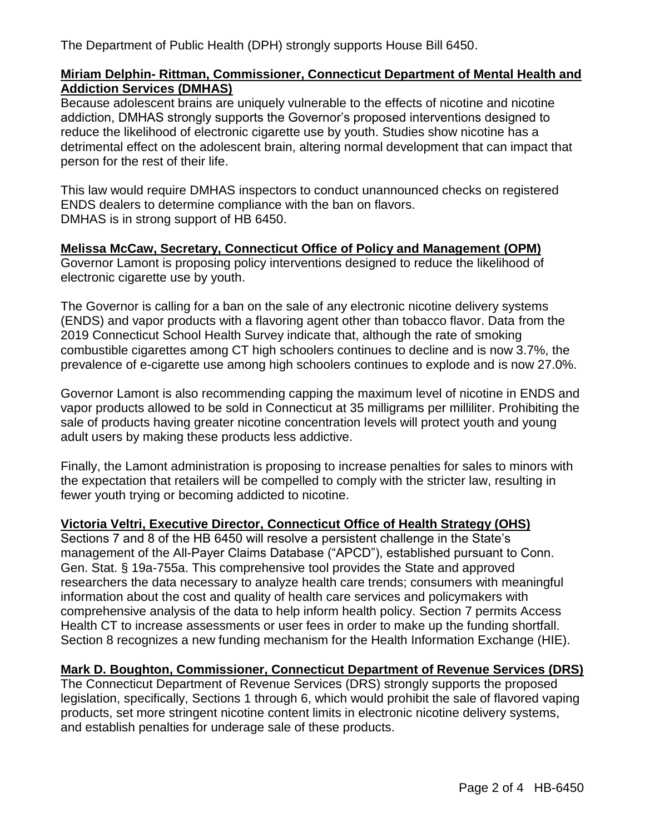The Department of Public Health (DPH) strongly supports House Bill 6450.

## **Miriam Delphin- Rittman, Commissioner, Connecticut Department of Mental Health and Addiction Services (DMHAS)**

Because adolescent brains are uniquely vulnerable to the effects of nicotine and nicotine addiction, DMHAS strongly supports the Governor's proposed interventions designed to reduce the likelihood of electronic cigarette use by youth. Studies show nicotine has a detrimental effect on the adolescent brain, altering normal development that can impact that person for the rest of their life.

This law would require DMHAS inspectors to conduct unannounced checks on registered ENDS dealers to determine compliance with the ban on flavors. DMHAS is in strong support of HB 6450.

## **Melissa McCaw, Secretary, Connecticut Office of Policy and Management (OPM)**

Governor Lamont is proposing policy interventions designed to reduce the likelihood of electronic cigarette use by youth.

The Governor is calling for a ban on the sale of any electronic nicotine delivery systems (ENDS) and vapor products with a flavoring agent other than tobacco flavor. Data from the 2019 Connecticut School Health Survey indicate that, although the rate of smoking combustible cigarettes among CT high schoolers continues to decline and is now 3.7%, the prevalence of e-cigarette use among high schoolers continues to explode and is now 27.0%.

Governor Lamont is also recommending capping the maximum level of nicotine in ENDS and vapor products allowed to be sold in Connecticut at 35 milligrams per milliliter. Prohibiting the sale of products having greater nicotine concentration levels will protect youth and young adult users by making these products less addictive.

Finally, the Lamont administration is proposing to increase penalties for sales to minors with the expectation that retailers will be compelled to comply with the stricter law, resulting in fewer youth trying or becoming addicted to nicotine.

# **Victoria Veltri, Executive Director, Connecticut Office of Health Strategy (OHS)**

Sections 7 and 8 of the HB 6450 will resolve a persistent challenge in the State's management of the All-Payer Claims Database ("APCD"), established pursuant to Conn. Gen. Stat. § 19a-755a. This comprehensive tool provides the State and approved researchers the data necessary to analyze health care trends; consumers with meaningful information about the cost and quality of health care services and policymakers with comprehensive analysis of the data to help inform health policy. Section 7 permits Access Health CT to increase assessments or user fees in order to make up the funding shortfall. Section 8 recognizes a new funding mechanism for the Health Information Exchange (HIE).

# **Mark D. Boughton, Commissioner, Connecticut Department of Revenue Services (DRS)**

The Connecticut Department of Revenue Services (DRS) strongly supports the proposed legislation, specifically, Sections 1 through 6, which would prohibit the sale of flavored vaping products, set more stringent nicotine content limits in electronic nicotine delivery systems, and establish penalties for underage sale of these products.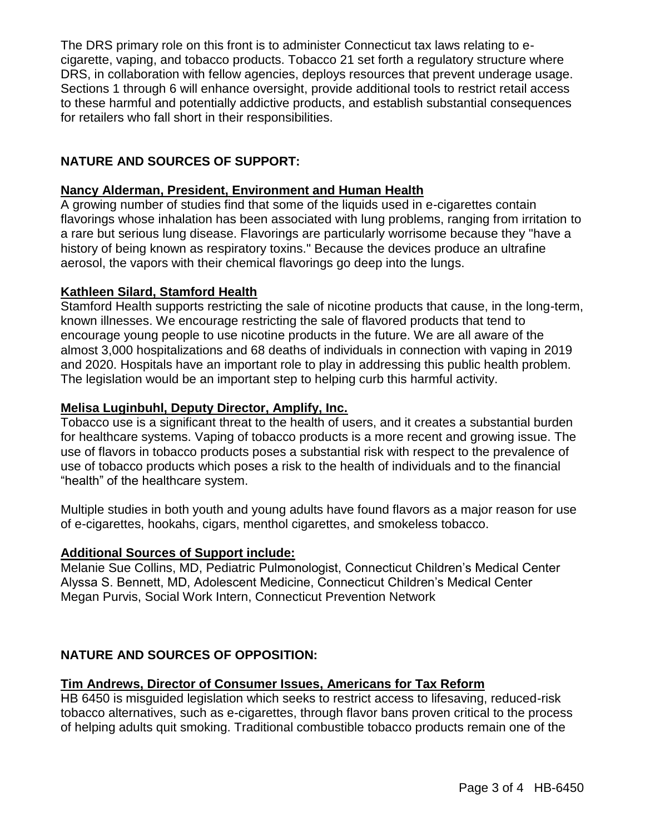The DRS primary role on this front is to administer Connecticut tax laws relating to ecigarette, vaping, and tobacco products. Tobacco 21 set forth a regulatory structure where DRS, in collaboration with fellow agencies, deploys resources that prevent underage usage. Sections 1 through 6 will enhance oversight, provide additional tools to restrict retail access to these harmful and potentially addictive products, and establish substantial consequences for retailers who fall short in their responsibilities.

## **NATURE AND SOURCES OF SUPPORT:**

#### **Nancy Alderman, President, Environment and Human Health**

A growing number of studies find that some of the liquids used in e-cigarettes contain flavorings whose inhalation has been associated with lung problems, ranging from irritation to a rare but serious lung disease. Flavorings are particularly worrisome because they "have a history of being known as respiratory toxins." Because the devices produce an ultrafine aerosol, the vapors with their chemical flavorings go deep into the lungs.

#### **Kathleen Silard, Stamford Health**

Stamford Health supports restricting the sale of nicotine products that cause, in the long-term, known illnesses. We encourage restricting the sale of flavored products that tend to encourage young people to use nicotine products in the future. We are all aware of the almost 3,000 hospitalizations and 68 deaths of individuals in connection with vaping in 2019 and 2020. Hospitals have an important role to play in addressing this public health problem. The legislation would be an important step to helping curb this harmful activity.

#### **Melisa Luginbuhl, Deputy Director, Amplify, Inc.**

Tobacco use is a significant threat to the health of users, and it creates a substantial burden for healthcare systems. Vaping of tobacco products is a more recent and growing issue. The use of flavors in tobacco products poses a substantial risk with respect to the prevalence of use of tobacco products which poses a risk to the health of individuals and to the financial "health" of the healthcare system.

Multiple studies in both youth and young adults have found flavors as a major reason for use of e-cigarettes, hookahs, cigars, menthol cigarettes, and smokeless tobacco.

#### **Additional Sources of Support include:**

Melanie Sue Collins, MD, Pediatric Pulmonologist, Connecticut Children's Medical Center Alyssa S. Bennett, MD, Adolescent Medicine, Connecticut Children's Medical Center Megan Purvis, Social Work Intern, Connecticut Prevention Network

## **NATURE AND SOURCES OF OPPOSITION:**

#### **Tim Andrews, Director of Consumer Issues, Americans for Tax Reform**

HB 6450 is misguided legislation which seeks to restrict access to lifesaving, reduced-risk tobacco alternatives, such as e-cigarettes, through flavor bans proven critical to the process of helping adults quit smoking. Traditional combustible tobacco products remain one of the